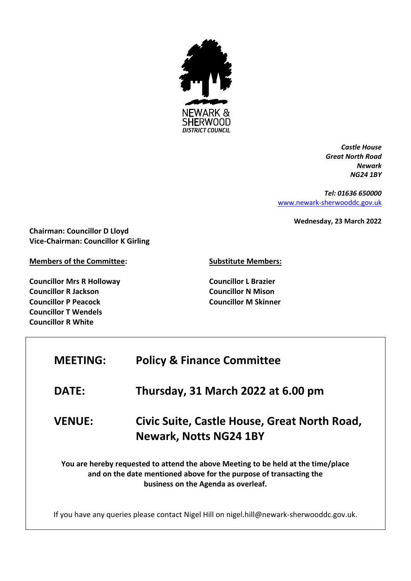

*Castle House Great North Road Newark NG24 1BY*

*Tel: 01636 650000* [www.newark-sherwooddc.gov.uk](http://www.newark-sherwooddc.gov.uk/)

**Wednesday, 23 March 2022**

**Chairman: Councillor D Lloyd Vice-Chairman: Councillor K Girling**

**Members of the Committee:**

**Councillor Mrs R Holloway Councillor R Jackson Councillor P Peacock Councillor T Wendels Councillor R White**

**Substitute Members:**

**Councillor L Brazier Councillor N Mison Councillor M Skinner**

| <b>MEETING:</b>                                                                                                                                                                                | <b>Policy &amp; Finance Committee</b>                                                     |  |
|------------------------------------------------------------------------------------------------------------------------------------------------------------------------------------------------|-------------------------------------------------------------------------------------------|--|
| <b>DATE:</b>                                                                                                                                                                                   | Thursday, 31 March 2022 at 6.00 pm                                                        |  |
| <b>VENUE:</b>                                                                                                                                                                                  | Civic Suite, Castle House, Great North Road,<br><b>Newark, Notts NG24 1BY</b>             |  |
| You are hereby requested to attend the above Meeting to be held at the time/place<br>and on the date mentioned above for the purpose of transacting the<br>business on the Agenda as overleaf. |                                                                                           |  |
|                                                                                                                                                                                                | If you have any queries please contact Nigel Hill on nigel.hill@newark-sherwooddc.gov.uk. |  |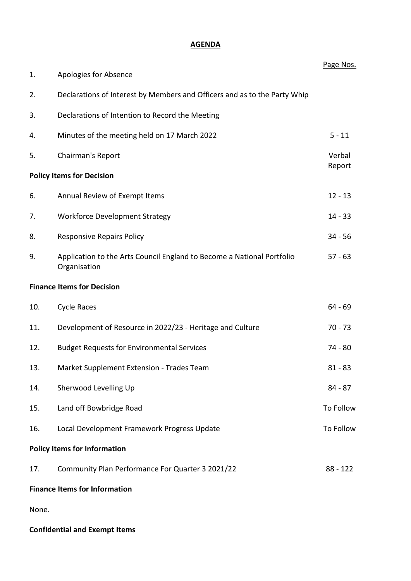## **AGENDA**

|       |                                                                                        | Page Nos.  |
|-------|----------------------------------------------------------------------------------------|------------|
| 1.    | Apologies for Absence                                                                  |            |
| 2.    | Declarations of Interest by Members and Officers and as to the Party Whip              |            |
| 3.    | Declarations of Intention to Record the Meeting                                        |            |
| 4.    | Minutes of the meeting held on 17 March 2022                                           | $5 - 11$   |
| 5.    | Chairman's Report                                                                      | Verbal     |
|       | <b>Policy Items for Decision</b>                                                       | Report     |
| 6.    | Annual Review of Exempt Items                                                          | $12 - 13$  |
| 7.    | <b>Workforce Development Strategy</b>                                                  | $14 - 33$  |
| 8.    | <b>Responsive Repairs Policy</b>                                                       | $34 - 56$  |
| 9.    | Application to the Arts Council England to Become a National Portfolio<br>Organisation | $57 - 63$  |
|       | <b>Finance Items for Decision</b>                                                      |            |
| 10.   | <b>Cycle Races</b>                                                                     | $64 - 69$  |
| 11.   | Development of Resource in 2022/23 - Heritage and Culture                              | $70 - 73$  |
| 12.   | <b>Budget Requests for Environmental Services</b>                                      | 74 - 80    |
| 13.   | Market Supplement Extension - Trades Team                                              | $81 - 83$  |
| 14.   | Sherwood Levelling Up                                                                  | $84 - 87$  |
| 15.   | Land off Bowbridge Road                                                                | To Follow  |
| 16.   | Local Development Framework Progress Update                                            | To Follow  |
|       | <b>Policy Items for Information</b>                                                    |            |
| 17.   | Community Plan Performance For Quarter 3 2021/22                                       | $88 - 122$ |
|       | <b>Finance Items for Information</b>                                                   |            |
| None. |                                                                                        |            |

## **Confidential and Exempt Items**